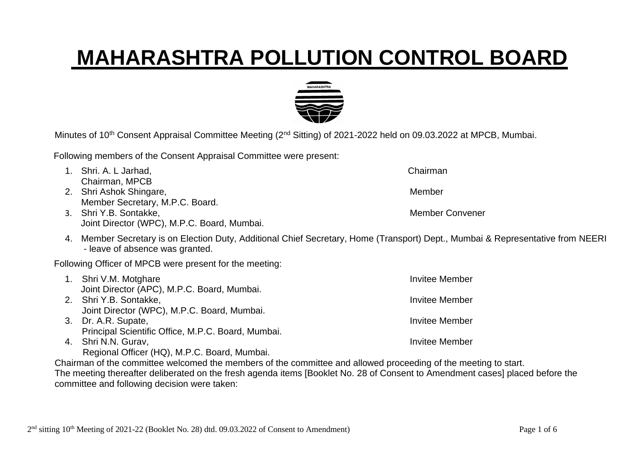## **MAHARASHTRA POLLUTION CONTROL BOARD**



Minutes of 10<sup>th</sup> Consent Appraisal Committee Meeting (2<sup>nd</sup> Sitting) of 2021-2022 held on 09.03.2022 at MPCB, Mumbai.

Following members of the Consent Appraisal Committee were present:

- 1. Shri. A. L Jarhad, Chairman Chairman, MPCB 2. Shri Ashok Shingare, Management and Shingare, Member Member Secretary, M.P.C. Board. 3. Shri Y.B. Sontakke, Member Convener Joint Director (WPC), M.P.C. Board, Mumbai. 4. Member Secretary is on Election Duty, Additional Chief Secretary, Home (Transport) Dept., Mumbai & Representative from NEERI - leave of absence was granted. Following Officer of MPCB were present for the meeting: 1. Shri V.M. Motghare Invitee Member Joint Director (APC), M.P.C. Board, Mumbai.
	- 2. Shri Y.B. Sontakke, Invitee Member Joint Director (WPC), M.P.C. Board, Mumbai.
	- 3. Dr. A.R. Supate, Invitee Member Principal Scientific Office, M.P.C. Board, Mumbai.
	- 4. Shri N.N. Gurav, **Invitee Member**

Regional Officer (HQ), M.P.C. Board, Mumbai.

Chairman of the committee welcomed the members of the committee and allowed proceeding of the meeting to start. The meeting thereafter deliberated on the fresh agenda items [Booklet No. 28 of Consent to Amendment cases] placed before the committee and following decision were taken: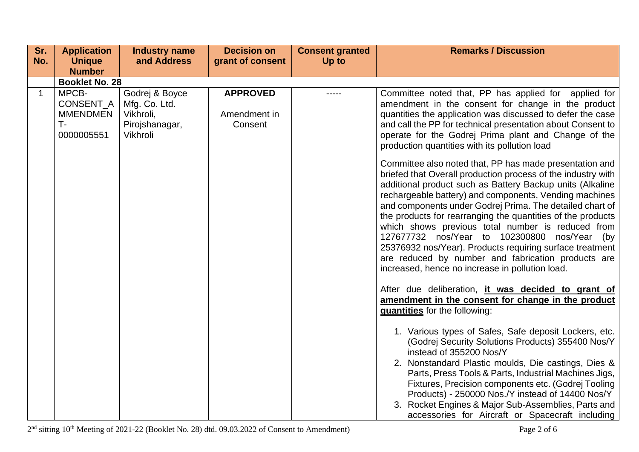| <b>Application</b>                                        | <b>Industry name</b>                                                       | <b>Decision on</b>                         | <b>Consent granted</b> | <b>Remarks / Discussion</b>                                                                                                                                                                                                                                                                                                                                                                                                                                                                                                                                                                                                                                                                                                                                                                                                                                                                                                                                                                                                                                                                                                                                                                                                                                                                                                                                                                                                                                                                                                                                                        |
|-----------------------------------------------------------|----------------------------------------------------------------------------|--------------------------------------------|------------------------|------------------------------------------------------------------------------------------------------------------------------------------------------------------------------------------------------------------------------------------------------------------------------------------------------------------------------------------------------------------------------------------------------------------------------------------------------------------------------------------------------------------------------------------------------------------------------------------------------------------------------------------------------------------------------------------------------------------------------------------------------------------------------------------------------------------------------------------------------------------------------------------------------------------------------------------------------------------------------------------------------------------------------------------------------------------------------------------------------------------------------------------------------------------------------------------------------------------------------------------------------------------------------------------------------------------------------------------------------------------------------------------------------------------------------------------------------------------------------------------------------------------------------------------------------------------------------------|
|                                                           |                                                                            |                                            |                        |                                                                                                                                                                                                                                                                                                                                                                                                                                                                                                                                                                                                                                                                                                                                                                                                                                                                                                                                                                                                                                                                                                                                                                                                                                                                                                                                                                                                                                                                                                                                                                                    |
|                                                           |                                                                            |                                            |                        |                                                                                                                                                                                                                                                                                                                                                                                                                                                                                                                                                                                                                                                                                                                                                                                                                                                                                                                                                                                                                                                                                                                                                                                                                                                                                                                                                                                                                                                                                                                                                                                    |
|                                                           |                                                                            |                                            |                        |                                                                                                                                                                                                                                                                                                                                                                                                                                                                                                                                                                                                                                                                                                                                                                                                                                                                                                                                                                                                                                                                                                                                                                                                                                                                                                                                                                                                                                                                                                                                                                                    |
| MPCB-<br>CONSENT_A<br><b>MMENDMEN</b><br>T-<br>0000005551 | Godrej & Boyce<br>Mfg. Co. Ltd.<br>Vikhroli,<br>Pirojshanagar,<br>Vikhroli | <b>APPROVED</b><br>Amendment in<br>Consent |                        | Committee noted that, PP has applied for applied for<br>amendment in the consent for change in the product<br>quantities the application was discussed to defer the case<br>and call the PP for technical presentation about Consent to<br>operate for the Godrej Prima plant and Change of the<br>production quantities with its pollution load<br>Committee also noted that, PP has made presentation and<br>briefed that Overall production process of the industry with<br>additional product such as Battery Backup units (Alkaline<br>rechargeable battery) and components, Vending machines<br>and components under Godrej Prima. The detailed chart of<br>the products for rearranging the quantities of the products<br>which shows previous total number is reduced from<br>127677732 nos/Year to 102300800 nos/Year<br>(by<br>25376932 nos/Year). Products requiring surface treatment<br>are reduced by number and fabrication products are<br>increased, hence no increase in pollution load.<br>After due deliberation, it was decided to grant of<br>amendment in the consent for change in the product<br>quantities for the following:<br>1. Various types of Safes, Safe deposit Lockers, etc.<br>(Godrej Security Solutions Products) 355400 Nos/Y<br>instead of 355200 Nos/Y<br>2. Nonstandard Plastic moulds, Die castings, Dies &<br>Parts, Press Tools & Parts, Industrial Machines Jigs,<br>Fixtures, Precision components etc. (Godrej Tooling<br>Products) - 250000 Nos./Y instead of 14400 Nos/Y<br>3. Rocket Engines & Major Sub-Assemblies, Parts and |
|                                                           | <b>Unique</b><br><b>Number</b>                                             | and Address<br><b>Booklet No. 28</b>       | grant of consent       | Up to                                                                                                                                                                                                                                                                                                                                                                                                                                                                                                                                                                                                                                                                                                                                                                                                                                                                                                                                                                                                                                                                                                                                                                                                                                                                                                                                                                                                                                                                                                                                                                              |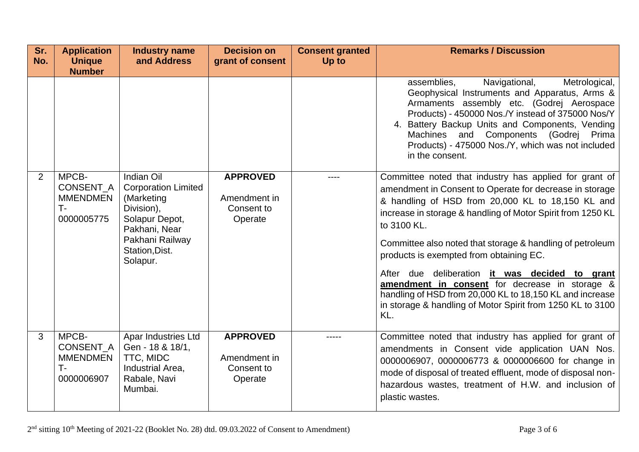| Sr.<br>No. | <b>Application</b><br><b>Unique</b><br><b>Number</b>      | <b>Industry name</b><br>and Address                                                                                                                      | <b>Decision on</b><br>grant of consent                   | <b>Consent granted</b><br>Up to | <b>Remarks / Discussion</b>                                                                                                                                                                                                                                                                                                                                                                                                                                                                                                                                                                       |
|------------|-----------------------------------------------------------|----------------------------------------------------------------------------------------------------------------------------------------------------------|----------------------------------------------------------|---------------------------------|---------------------------------------------------------------------------------------------------------------------------------------------------------------------------------------------------------------------------------------------------------------------------------------------------------------------------------------------------------------------------------------------------------------------------------------------------------------------------------------------------------------------------------------------------------------------------------------------------|
|            |                                                           |                                                                                                                                                          |                                                          |                                 | Navigational,<br>assemblies,<br>Metrological,<br>Geophysical Instruments and Apparatus, Arms &<br>Armaments assembly etc. (Godrej Aerospace<br>Products) - 450000 Nos./Y instead of 375000 Nos/Y<br>4. Battery Backup Units and Components, Vending<br>Machines and Components (Godrej Prima<br>Products) - 475000 Nos./Y, which was not included<br>in the consent.                                                                                                                                                                                                                              |
| 2          | MPCB-<br>CONSENT_A<br><b>MMENDMEN</b><br>T-<br>0000005775 | Indian Oil<br><b>Corporation Limited</b><br>(Marketing<br>Division),<br>Solapur Depot,<br>Pakhani, Near<br>Pakhani Railway<br>Station, Dist.<br>Solapur. | <b>APPROVED</b><br>Amendment in<br>Consent to<br>Operate | ----                            | Committee noted that industry has applied for grant of<br>amendment in Consent to Operate for decrease in storage<br>& handling of HSD from 20,000 KL to 18,150 KL and<br>increase in storage & handling of Motor Spirit from 1250 KL<br>to 3100 KL.<br>Committee also noted that storage & handling of petroleum<br>products is exempted from obtaining EC.<br>After due deliberation it was decided to grant<br>amendment in consent for decrease in storage &<br>handling of HSD from 20,000 KL to 18,150 KL and increase<br>in storage & handling of Motor Spirit from 1250 KL to 3100<br>KL. |
| 3          | MPCB-<br>CONSENT_A<br><b>MMENDMEN</b><br>T-<br>0000006907 | <b>Apar Industries Ltd</b><br>Gen - 18 & 18/1,<br>TTC, MIDC<br>Industrial Area,<br>Rabale, Navi<br>Mumbai.                                               | <b>APPROVED</b><br>Amendment in<br>Consent to<br>Operate |                                 | Committee noted that industry has applied for grant of<br>amendments in Consent vide application UAN Nos.<br>0000006907, 0000006773 & 0000006600 for change in<br>mode of disposal of treated effluent, mode of disposal non-<br>hazardous wastes, treatment of H.W. and inclusion of<br>plastic wastes.                                                                                                                                                                                                                                                                                          |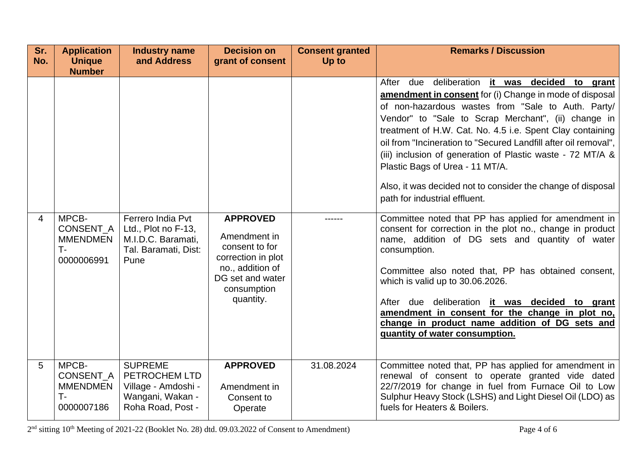| Sr.<br>No. | <b>Application</b><br><b>Unique</b>                          | <b>Industry name</b><br>and Address                                                             | <b>Decision on</b><br>grant of consent                                                                                                      | <b>Consent granted</b><br>Up to | <b>Remarks / Discussion</b>                                                                                                                                                                                                                                                                                                                                                                                                                                                                                                                             |
|------------|--------------------------------------------------------------|-------------------------------------------------------------------------------------------------|---------------------------------------------------------------------------------------------------------------------------------------------|---------------------------------|---------------------------------------------------------------------------------------------------------------------------------------------------------------------------------------------------------------------------------------------------------------------------------------------------------------------------------------------------------------------------------------------------------------------------------------------------------------------------------------------------------------------------------------------------------|
|            | <b>Number</b>                                                |                                                                                                 |                                                                                                                                             |                                 | After due deliberation it was decided to grant<br>amendment in consent for (i) Change in mode of disposal<br>of non-hazardous wastes from "Sale to Auth. Party/<br>Vendor" to "Sale to Scrap Merchant", (ii) change in<br>treatment of H.W. Cat. No. 4.5 i.e. Spent Clay containing<br>oil from "Incineration to "Secured Landfill after oil removal",<br>(iii) inclusion of generation of Plastic waste - 72 MT/A &<br>Plastic Bags of Urea - 11 MT/A.<br>Also, it was decided not to consider the change of disposal<br>path for industrial effluent. |
| 4          | MPCB-<br>CONSENT_A<br><b>MMENDMEN</b><br>T-<br>0000006991    | Ferrero India Pvt<br>Ltd., Plot no F-13,<br>M.I.D.C. Baramati,<br>Tal. Baramati, Dist:<br>Pune  | <b>APPROVED</b><br>Amendment in<br>consent to for<br>correction in plot<br>no., addition of<br>DG set and water<br>consumption<br>quantity. |                                 | Committee noted that PP has applied for amendment in<br>consent for correction in the plot no., change in product<br>name, addition of DG sets and quantity of water<br>consumption.<br>Committee also noted that, PP has obtained consent,<br>which is valid up to 30.06.2026.<br>After due deliberation it was decided to grant<br>amendment in consent for the change in plot no,<br>change in product name addition of DG sets and<br>quantity of water consumption.                                                                                |
| 5          | MPCB-<br>CONSENT_A<br><b>MMENDMEN</b><br>$T -$<br>0000007186 | <b>SUPREME</b><br>PETROCHEM LTD<br>Village - Amdoshi -<br>Wangani, Wakan -<br>Roha Road, Post - | <b>APPROVED</b><br>Amendment in<br>Consent to<br>Operate                                                                                    | 31.08.2024                      | Committee noted that, PP has applied for amendment in<br>renewal of consent to operate granted vide dated<br>22/7/2019 for change in fuel from Furnace Oil to Low<br>Sulphur Heavy Stock (LSHS) and Light Diesel Oil (LDO) as<br>fuels for Heaters & Boilers.                                                                                                                                                                                                                                                                                           |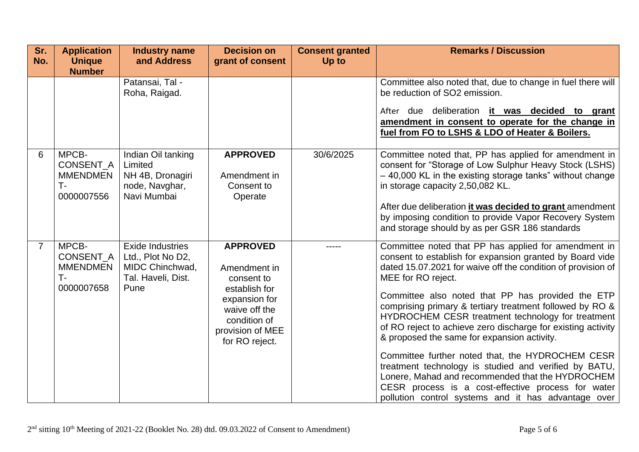| Sr.<br>No. | <b>Application</b><br><b>Unique</b>                       | <b>Industry name</b><br>and Address                                                           | <b>Decision on</b><br>grant of consent                                                                                                                 | <b>Consent granted</b><br>Up to | <b>Remarks / Discussion</b>                                                                                                                                                                                                                                                                                                                                                                                                                                                                                                                                                                                                                                                                                                                                               |
|------------|-----------------------------------------------------------|-----------------------------------------------------------------------------------------------|--------------------------------------------------------------------------------------------------------------------------------------------------------|---------------------------------|---------------------------------------------------------------------------------------------------------------------------------------------------------------------------------------------------------------------------------------------------------------------------------------------------------------------------------------------------------------------------------------------------------------------------------------------------------------------------------------------------------------------------------------------------------------------------------------------------------------------------------------------------------------------------------------------------------------------------------------------------------------------------|
|            | <b>Number</b>                                             |                                                                                               |                                                                                                                                                        |                                 |                                                                                                                                                                                                                                                                                                                                                                                                                                                                                                                                                                                                                                                                                                                                                                           |
|            |                                                           | Patansai, Tal -<br>Roha, Raigad.                                                              |                                                                                                                                                        |                                 | Committee also noted that, due to change in fuel there will<br>be reduction of SO2 emission.<br>After due deliberation it was decided to grant<br>amendment in consent to operate for the change in<br>fuel from FO to LSHS & LDO of Heater & Boilers.                                                                                                                                                                                                                                                                                                                                                                                                                                                                                                                    |
| 6          | MPCB-<br>CONSENT_A<br><b>MMENDMEN</b><br>Т-<br>0000007556 | Indian Oil tanking<br>Limited<br>NH 4B, Dronagiri<br>node, Navghar,<br>Navi Mumbai            | <b>APPROVED</b><br>Amendment in<br>Consent to<br>Operate                                                                                               | 30/6/2025                       | Committee noted that, PP has applied for amendment in<br>consent for "Storage of Low Sulphur Heavy Stock (LSHS)<br>-40,000 KL in the existing storage tanks" without change<br>in storage capacity 2,50,082 KL.<br>After due deliberation it was decided to grant amendment<br>by imposing condition to provide Vapor Recovery System<br>and storage should by as per GSR 186 standards                                                                                                                                                                                                                                                                                                                                                                                   |
| 7          | MPCB-<br>CONSENT_A<br><b>MMENDMEN</b><br>T-<br>0000007658 | <b>Exide Industries</b><br>Ltd., Plot No D2,<br>MIDC Chinchwad,<br>Tal. Haveli, Dist.<br>Pune | <b>APPROVED</b><br>Amendment in<br>consent to<br>establish for<br>expansion for<br>waive off the<br>condition of<br>provision of MEE<br>for RO reject. |                                 | Committee noted that PP has applied for amendment in<br>consent to establish for expansion granted by Board vide<br>dated 15.07.2021 for waive off the condition of provision of<br>MEE for RO reject.<br>Committee also noted that PP has provided the ETP<br>comprising primary & tertiary treatment followed by RO &<br>HYDROCHEM CESR treatment technology for treatment<br>of RO reject to achieve zero discharge for existing activity<br>& proposed the same for expansion activity.<br>Committee further noted that, the HYDROCHEM CESR<br>treatment technology is studied and verified by BATU,<br>Lonere, Mahad and recommended that the HYDROCHEM<br>CESR process is a cost-effective process for water<br>pollution control systems and it has advantage over |